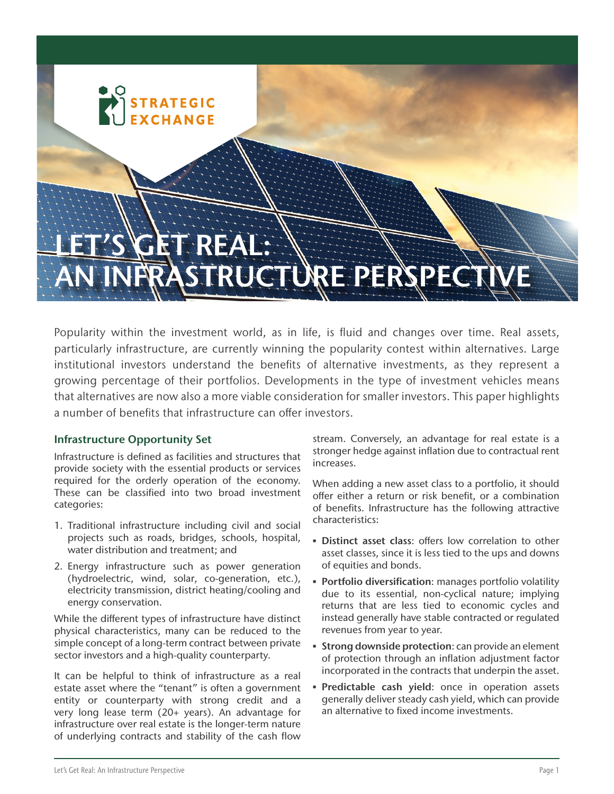# LET'S GET REAL: STRUCTURE PERSPE

Popularity within the investment world, as in life, is fluid and changes over time. Real assets, particularly infrastructure, are currently winning the popularity contest within alternatives. Large institutional investors understand the benefits of alternative investments, as they represent a growing percentage of their portfolios. Developments in the type of investment vehicles means that alternatives are now also a more viable consideration for smaller investors. This paper highlights a number of benefits that infrastructure can offer investors.

# Infrastructure Opportunity Set

Infrastructure is defined as facilities and structures that provide society with the essential products or services required for the orderly operation of the economy. These can be classified into two broad investment categories:

**TRATEGIC** 

- 1. Traditional infrastructure including civil and social projects such as roads, bridges, schools, hospital, water distribution and treatment; and
- 2. Energy infrastructure such as power generation (hydroelectric, wind, solar, co-generation, etc.), electricity transmission, district heating/cooling and energy conservation.

While the different types of infrastructure have distinct physical characteristics, many can be reduced to the simple concept of a long-term contract between private sector investors and a high-quality counterparty.

It can be helpful to think of infrastructure as a real estate asset where the "tenant" is often a government entity or counterparty with strong credit and a very long lease term (20+ years). An advantage for infrastructure over real estate is the longer-term nature of underlying contracts and stability of the cash flow stream. Conversely, an advantage for real estate is a stronger hedge against inflation due to contractual rent increases.

When adding a new asset class to a portfolio, it should offer either a return or risk benefit, or a combination of benefits. Infrastructure has the following attractive characteristics:

- **Distinct asset class:** offers low correlation to other asset classes, since it is less tied to the ups and downs of equities and bonds.
- **Portfolio diversification:** manages portfolio volatility due to its essential, non-cyclical nature; implying returns that are less tied to economic cycles and instead generally have stable contracted or regulated revenues from year to year.
- **Extrong downside protection: can provide an element** of protection through an inflation adjustment factor incorporated in the contracts that underpin the asset.
- **Predictable cash yield:** once in operation assets generally deliver steady cash yield, which can provide an alternative to fixed income investments.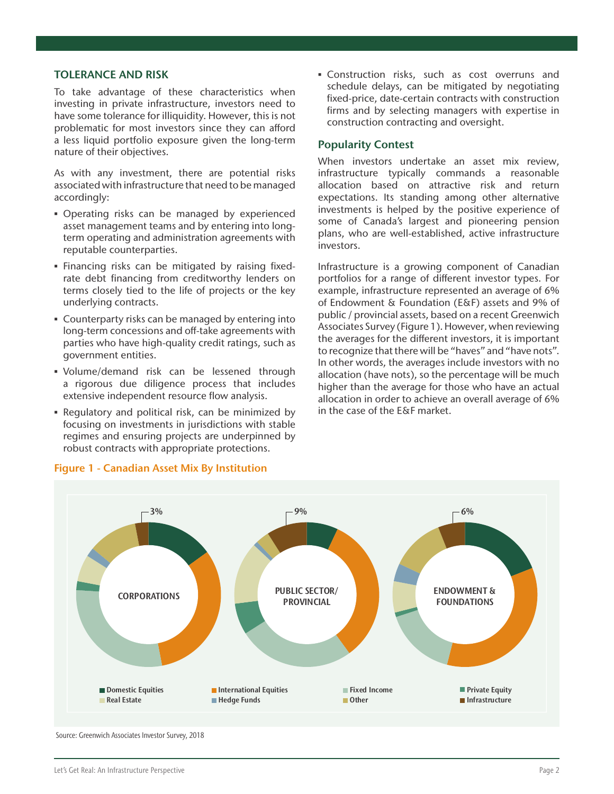#### TOLERANCE AND RISK

To take advantage of these characteristics when investing in private infrastructure, investors need to have some tolerance for illiquidity. However, this is not problematic for most investors since they can afford a less liquid portfolio exposure given the long-term nature of their objectives.

As with any investment, there are potential risks associated with infrastructure that need to be managed accordingly:

- **Operating risks can be managed by experienced** asset management teams and by entering into longterm operating and administration agreements with reputable counterparties.
- **Einancing risks can be mitigated by raising fixed**rate debt financing from creditworthy lenders on terms closely tied to the life of projects or the key underlying contracts.
- **Counterparty risks can be managed by entering into** long-term concessions and off-take agreements with parties who have high-quality credit ratings, such as government entities.
- Volume/demand risk can be lessened through a rigorous due diligence process that includes extensive independent resource flow analysis.
- Regulatory and political risk, can be minimized by focusing on investments in jurisdictions with stable regimes and ensuring projects are underpinned by robust contracts with appropriate protections.

▪ Construction risks, such as cost overruns and schedule delays, can be mitigated by negotiating fixed-price, date-certain contracts with construction firms and by selecting managers with expertise in construction contracting and oversight.

#### Popularity Contest

When investors undertake an asset mix review, infrastructure typically commands a reasonable allocation based on attractive risk and return expectations. Its standing among other alternative investments is helped by the positive experience of some of Canada's largest and pioneering pension plans, who are well-established, active infrastructure investors.

Infrastructure is a growing component of Canadian portfolios for a range of different investor types. For example, infrastructure represented an average of 6% of Endowment & Foundation (E&F) assets and 9% of public / provincial assets, based on a recent Greenwich Associates Survey (Figure 1). However, when reviewing the averages for the different investors, it is important to recognize that there will be "haves" and "have nots". In other words, the averages include investors with no allocation (have nots), so the percentage will be much higher than the average for those who have an actual allocation in order to achieve an overall average of 6% in the case of the E&F market.



## Figure 1 - Canadian Asset Mix By Institution

Source: Greenwich Associates Investor Survey, 2018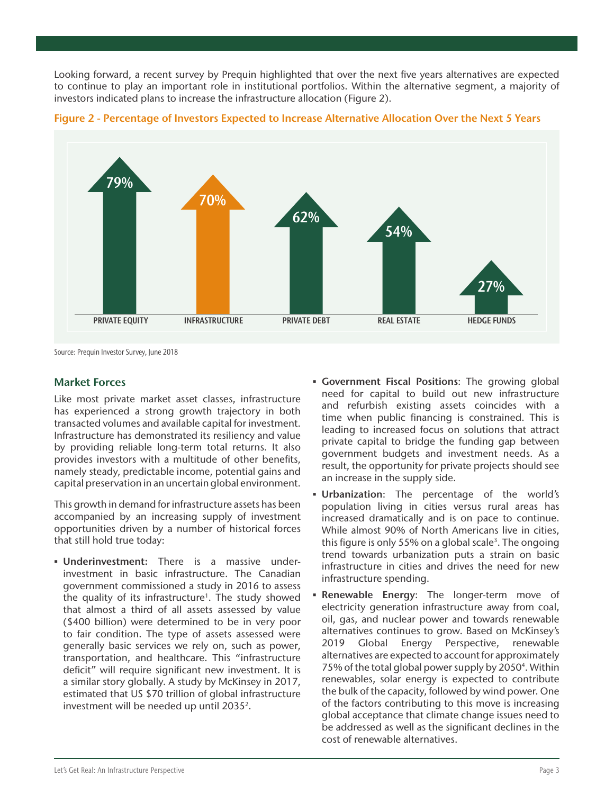Looking forward, a recent survey by Prequin highlighted that over the next five years alternatives are expected to continue to play an important role in institutional portfolios. Within the alternative segment, a majority of investors indicated plans to increase the infrastructure allocation (Figure 2).





Source: Prequin Investor Survey, June 2018

## Market Forces

Like most private market asset classes, infrastructure has experienced a strong growth trajectory in both transacted volumes and available capital for investment. Infrastructure has demonstrated its resiliency and value by providing reliable long-term total returns. It also provides investors with a multitude of other benefits, namely steady, predictable income, potential gains and capital preservation in an uncertain global environment.

This growth in demand for infrastructure assets has been accompanied by an increasing supply of investment opportunities driven by a number of historical forces that still hold true today:

- **Underinvestment:** There is a massive underinvestment in basic infrastructure. The Canadian government commissioned a study in 2016 to assess the quality of its infrastructure<sup>1</sup>. The study showed that almost a third of all assets assessed by value (\$400 billion) were determined to be in very poor to fair condition. The type of assets assessed were generally basic services we rely on, such as power, transportation, and healthcare. This "infrastructure deficit" will require significant new investment. It is a similar story globally. A study by McKinsey in 2017, estimated that US \$70 trillion of global infrastructure investment will be needed up until 2035<sup>2</sup>.
- **Government Fiscal Positions:** The growing global need for capital to build out new infrastructure and refurbish existing assets coincides with a time when public financing is constrained. This is leading to increased focus on solutions that attract private capital to bridge the funding gap between government budgets and investment needs. As a result, the opportunity for private projects should see an increase in the supply side.
- Urbanization: The percentage of the world's population living in cities versus rural areas has increased dramatically and is on pace to continue. While almost 90% of North Americans live in cities, this figure is only 55% on a global scale<sup>3</sup>. The ongoing trend towards urbanization puts a strain on basic infrastructure in cities and drives the need for new infrastructure spending.
- **Renewable Energy:** The longer-term move of electricity generation infrastructure away from coal, oil, gas, and nuclear power and towards renewable alternatives continues to grow. Based on McKinsey's 2019 Global Energy Perspective, renewable alternatives are expected to account for approximately 75% of the total global power supply by 2050<sup>4</sup>. Within renewables, solar energy is expected to contribute the bulk of the capacity, followed by wind power. One of the factors contributing to this move is increasing global acceptance that climate change issues need to be addressed as well as the significant declines in the cost of renewable alternatives.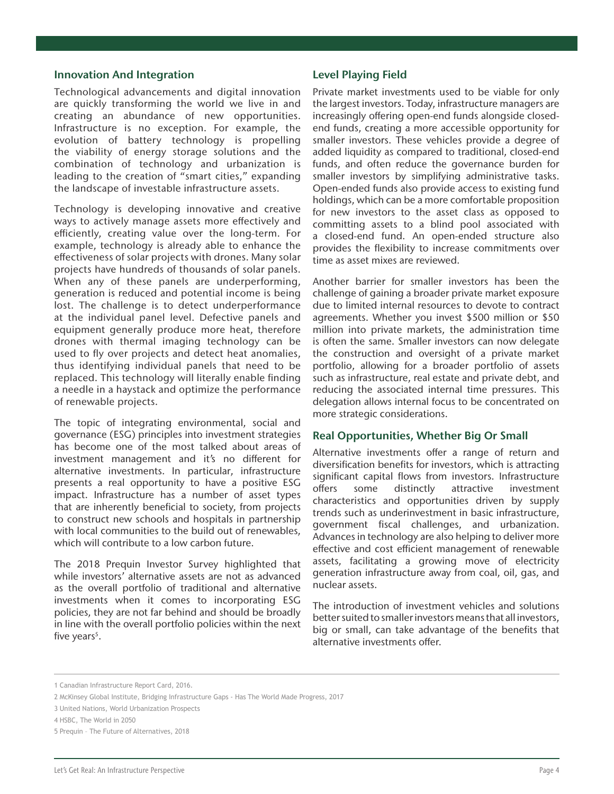#### Innovation And Integration

Technological advancements and digital innovation are quickly transforming the world we live in and creating an abundance of new opportunities. Infrastructure is no exception. For example, the evolution of battery technology is propelling the viability of energy storage solutions and the combination of technology and urbanization is leading to the creation of "smart cities," expanding the landscape of investable infrastructure assets.

Technology is developing innovative and creative ways to actively manage assets more effectively and efficiently, creating value over the long-term. For example, technology is already able to enhance the effectiveness of solar projects with drones. Many solar projects have hundreds of thousands of solar panels. When any of these panels are underperforming, generation is reduced and potential income is being lost. The challenge is to detect underperformance at the individual panel level. Defective panels and equipment generally produce more heat, therefore drones with thermal imaging technology can be used to fly over projects and detect heat anomalies, thus identifying individual panels that need to be replaced. This technology will literally enable finding a needle in a haystack and optimize the performance of renewable projects.

The topic of integrating environmental, social and governance (ESG) principles into investment strategies has become one of the most talked about areas of investment management and it's no different for alternative investments. In particular, infrastructure presents a real opportunity to have a positive ESG impact. Infrastructure has a number of asset types that are inherently beneficial to society, from projects to construct new schools and hospitals in partnership with local communities to the build out of renewables, which will contribute to a low carbon future.

The 2018 Prequin Investor Survey highlighted that while investors' alternative assets are not as advanced as the overall portfolio of traditional and alternative investments when it comes to incorporating ESG policies, they are not far behind and should be broadly in line with the overall portfolio policies within the next five years<sup>5</sup>.

#### Level Playing Field

Private market investments used to be viable for only the largest investors. Today, infrastructure managers are increasingly offering open-end funds alongside closedend funds, creating a more accessible opportunity for smaller investors. These vehicles provide a degree of added liquidity as compared to traditional, closed-end funds, and often reduce the governance burden for smaller investors by simplifying administrative tasks. Open-ended funds also provide access to existing fund holdings, which can be a more comfortable proposition for new investors to the asset class as opposed to committing assets to a blind pool associated with a closed-end fund. An open-ended structure also provides the flexibility to increase commitments over time as asset mixes are reviewed.

Another barrier for smaller investors has been the challenge of gaining a broader private market exposure due to limited internal resources to devote to contract agreements. Whether you invest \$500 million or \$50 million into private markets, the administration time is often the same. Smaller investors can now delegate the construction and oversight of a private market portfolio, allowing for a broader portfolio of assets such as infrastructure, real estate and private debt, and reducing the associated internal time pressures. This delegation allows internal focus to be concentrated on more strategic considerations.

## Real Opportunities, Whether Big Or Small

Alternative investments offer a range of return and diversification benefits for investors, which is attracting significant capital flows from investors. Infrastructure offers some distinctly attractive investment characteristics and opportunities driven by supply trends such as underinvestment in basic infrastructure, government fiscal challenges, and urbanization. Advances in technology are also helping to deliver more effective and cost efficient management of renewable assets, facilitating a growing move of electricity generation infrastructure away from coal, oil, gas, and nuclear assets.

The introduction of investment vehicles and solutions better suited to smaller investors means that all investors, big or small, can take advantage of the benefits that alternative investments offer.

<sup>1</sup> Canadian Infrastructure Report Card, 2016.

<sup>2</sup> McKinsey Global Institute, Bridging Infrastructure Gaps - Has The World Made Progress, 2017

<sup>3</sup> United Nations, World Urbanization Prospects

<sup>4</sup> HSBC, The World in 2050

<sup>5</sup> Prequin – The Future of Alternatives, 2018